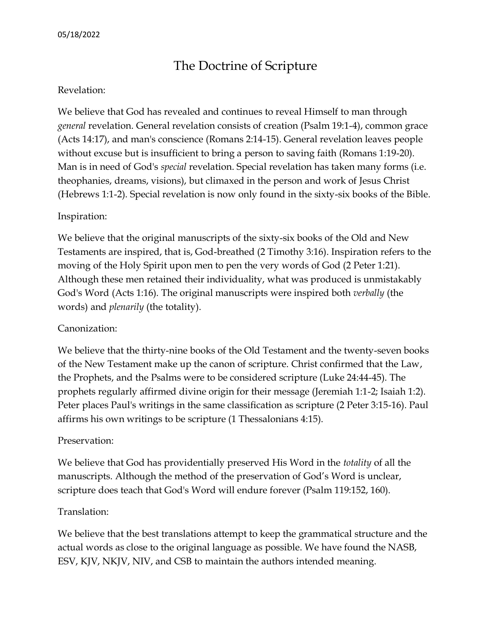# The Doctrine of Scripture

### Revelation:

We believe that God has revealed and continues to reveal Himself to man through *general* revelation. General revelation consists of creation (Psalm 19:1-4), common grace (Acts 14:17), and man's conscience (Romans 2:14-15). General revelation leaves people without excuse but is insufficient to bring a person to saving faith (Romans 1:19-20). Man is in need of God's *special* revelation. Special revelation has taken many forms (i.e. theophanies, dreams, visions), but climaxed in the person and work of Jesus Christ (Hebrews 1:1-2). Special revelation is now only found in the sixty-six books of the Bible.

### Inspiration:

We believe that the original manuscripts of the sixty-six books of the Old and New Testaments are inspired, that is, God-breathed (2 Timothy 3:16). Inspiration refers to the moving of the Holy Spirit upon men to pen the very words of God (2 Peter 1:21). Although these men retained their individuality, what was produced is unmistakably God's Word (Acts 1:16). The original manuscripts were inspired both *verbally* (the words) and *plenarily* (the totality).

#### Canonization:

We believe that the thirty-nine books of the Old Testament and the twenty-seven books of the New Testament make up the canon of scripture. Christ confirmed that the Law, the Prophets, and the Psalms were to be considered scripture (Luke 24:44-45). The prophets regularly affirmed divine origin for their message (Jeremiah 1:1-2; Isaiah 1:2). Peter places Paul's writings in the same classification as scripture (2 Peter 3:15-16). Paul affirms his own writings to be scripture (1 Thessalonians 4:15).

#### Preservation:

We believe that God has providentially preserved His Word in the *totality* of all the manuscripts. Although the method of the preservation of God's Word is unclear, scripture does teach that God's Word will endure forever (Psalm 119:152, 160).

#### Translation:

We believe that the best translations attempt to keep the grammatical structure and the actual words as close to the original language as possible. We have found the NASB, ESV, KJV, NKJV, NIV, and CSB to maintain the authors intended meaning.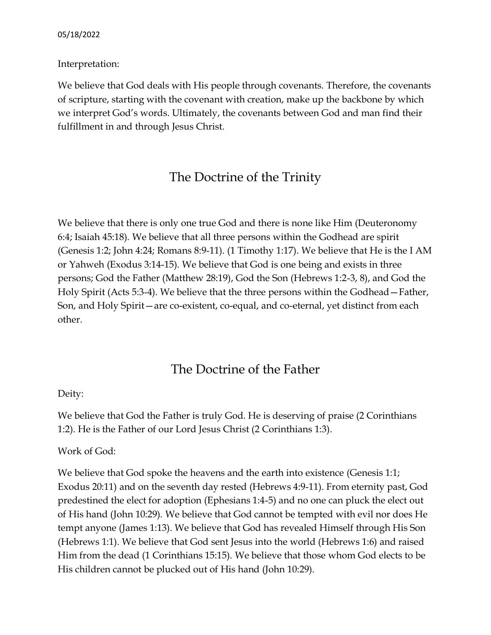### Interpretation:

We believe that God deals with His people through covenants. Therefore, the covenants of scripture, starting with the covenant with creation, make up the backbone by which we interpret God's words. Ultimately, the covenants between God and man find their fulfillment in and through Jesus Christ.

## The Doctrine of the Trinity

We believe that there is only one true God and there is none like Him (Deuteronomy 6:4; Isaiah 45:18). We believe that all three persons within the Godhead are spirit (Genesis 1:2; John 4:24; Romans 8:9-11). (1 Timothy 1:17). We believe that He is the I AM or Yahweh (Exodus 3:14-15). We believe that God is one being and exists in three persons; God the Father (Matthew 28:19), God the Son (Hebrews 1:2-3, 8), and God the Holy Spirit (Acts 5:3-4). We believe that the three persons within the Godhead—Father, Son, and Holy Spirit—are co-existent, co-equal, and co-eternal, yet distinct from each other.

## The Doctrine of the Father

### Deity:

We believe that God the Father is truly God. He is deserving of praise (2 Corinthians 1:2). He is the Father of our Lord Jesus Christ (2 Corinthians 1:3).

### Work of God:

We believe that God spoke the heavens and the earth into existence (Genesis 1:1; Exodus 20:11) and on the seventh day rested (Hebrews 4:9-11). From eternity past, God predestined the elect for adoption (Ephesians 1:4-5) and no one can pluck the elect out of His hand (John 10:29). We believe that God cannot be tempted with evil nor does He tempt anyone (James 1:13). We believe that God has revealed Himself through His Son (Hebrews 1:1). We believe that God sent Jesus into the world (Hebrews 1:6) and raised Him from the dead (1 Corinthians 15:15). We believe that those whom God elects to be His children cannot be plucked out of His hand (John 10:29).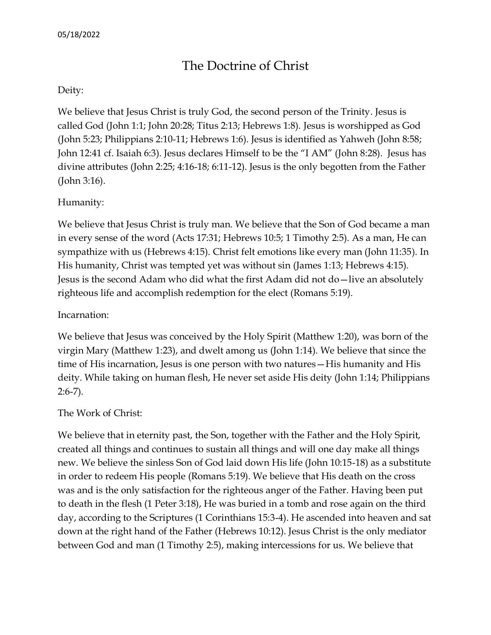## The Doctrine of Christ

#### Deity:

We believe that Jesus Christ is truly God, the second person of the Trinity. Jesus is called God (John 1:1; John 20:28; Titus 2:13; Hebrews 1:8). Jesus is worshipped as God (John 5:23; Philippians 2:10-11; Hebrews 1:6). Jesus is identified as Yahweh (John 8:58; John 12:41 cf. Isaiah 6:3). Jesus declares Himself to be the "I AM" (John 8:28). Jesus has divine attributes (John 2:25; 4:16-18; 6:11-12). Jesus is the only begotten from the Father (John 3:16).

### Humanity:

We believe that Jesus Christ is truly man. We believe that the Son of God became a man in every sense of the word (Acts 17:31; Hebrews 10:5; 1 Timothy 2:5). As a man, He can sympathize with us (Hebrews 4:15). Christ felt emotions like every man (John 11:35). In His humanity, Christ was tempted yet was without sin (James 1:13; Hebrews 4:15). Jesus is the second Adam who did what the first Adam did not do—live an absolutely righteous life and accomplish redemption for the elect (Romans 5:19).

#### Incarnation:

We believe that Jesus was conceived by the Holy Spirit (Matthew 1:20), was born of the virgin Mary (Matthew 1:23), and dwelt among us (John 1:14). We believe that since the time of His incarnation, Jesus is one person with two natures—His humanity and His deity. While taking on human flesh, He never set aside His deity (John 1:14; Philippians  $2:6-7$ ).

#### The Work of Christ:

We believe that in eternity past, the Son, together with the Father and the Holy Spirit, created all things and continues to sustain all things and will one day make all things new. We believe the sinless Son of God laid down His life (John 10:15-18) as a substitute in order to redeem His people (Romans 5:19). We believe that His death on the cross was and is the only satisfaction for the righteous anger of the Father. Having been put to death in the flesh (1 Peter 3:18), He was buried in a tomb and rose again on the third day, according to the Scriptures (1 Corinthians 15:3-4). He ascended into heaven and sat down at the right hand of the Father (Hebrews 10:12). Jesus Christ is the only mediator between God and man (1 Timothy 2:5), making intercessions for us. We believe that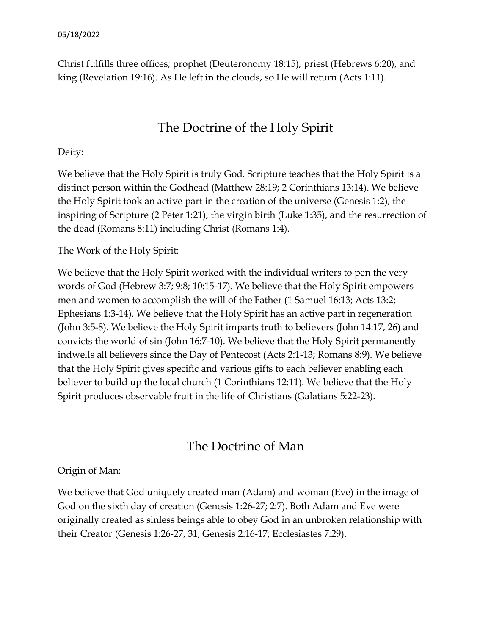Christ fulfills three offices; prophet (Deuteronomy 18:15), priest (Hebrews 6:20), and king (Revelation 19:16). As He left in the clouds, so He will return (Acts 1:11).

# The Doctrine of the Holy Spirit

## Deity:

We believe that the Holy Spirit is truly God. Scripture teaches that the Holy Spirit is a distinct person within the Godhead (Matthew 28:19; 2 Corinthians 13:14). We believe the Holy Spirit took an active part in the creation of the universe (Genesis 1:2), the inspiring of Scripture (2 Peter 1:21), the virgin birth (Luke 1:35), and the resurrection of the dead (Romans 8:11) including Christ (Romans 1:4).

The Work of the Holy Spirit:

We believe that the Holy Spirit worked with the individual writers to pen the very words of God (Hebrew 3:7; 9:8; 10:15-17). We believe that the Holy Spirit empowers men and women to accomplish the will of the Father (1 Samuel 16:13; Acts 13:2; Ephesians 1:3-14). We believe that the Holy Spirit has an active part in regeneration (John 3:5-8). We believe the Holy Spirit imparts truth to believers (John 14:17, 26) and convicts the world of sin (John 16:7-10). We believe that the Holy Spirit permanently indwells all believers since the Day of Pentecost (Acts 2:1-13; Romans 8:9). We believe that the Holy Spirit gives specific and various gifts to each believer enabling each believer to build up the local church (1 Corinthians 12:11). We believe that the Holy Spirit produces observable fruit in the life of Christians (Galatians 5:22-23).

## The Doctrine of Man

## Origin of Man:

We believe that God uniquely created man (Adam) and woman (Eve) in the image of God on the sixth day of creation (Genesis 1:26-27; 2:7). Both Adam and Eve were originally created as sinless beings able to obey God in an unbroken relationship with their Creator (Genesis 1:26-27, 31; Genesis 2:16-17; Ecclesiastes 7:29).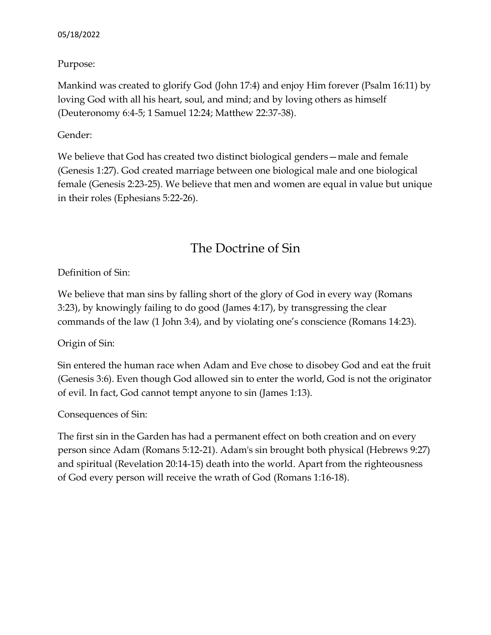#### 05/18/2022

## Purpose:

Mankind was created to glorify God (John 17:4) and enjoy Him forever (Psalm 16:11) by loving God with all his heart, soul, and mind; and by loving others as himself (Deuteronomy 6:4-5; 1 Samuel 12:24; Matthew 22:37-38).

## Gender:

We believe that God has created two distinct biological genders—male and female (Genesis 1:27). God created marriage between one biological male and one biological female (Genesis 2:23-25). We believe that men and women are equal in value but unique in their roles (Ephesians 5:22-26).

## The Doctrine of Sin

Definition of Sin:

We believe that man sins by falling short of the glory of God in every way (Romans 3:23), by knowingly failing to do good (James 4:17), by transgressing the clear commands of the law (1 John 3:4), and by violating one's conscience (Romans 14:23).

Origin of Sin:

Sin entered the human race when Adam and Eve chose to disobey God and eat the fruit (Genesis 3:6). Even though God allowed sin to enter the world, God is not the originator of evil. In fact, God cannot tempt anyone to sin (James 1:13).

## Consequences of Sin:

The first sin in the Garden has had a permanent effect on both creation and on every person since Adam (Romans 5:12-21). Adam's sin brought both physical (Hebrews 9:27) and spiritual (Revelation 20:14-15) death into the world. Apart from the righteousness of God every person will receive the wrath of God (Romans 1:16-18).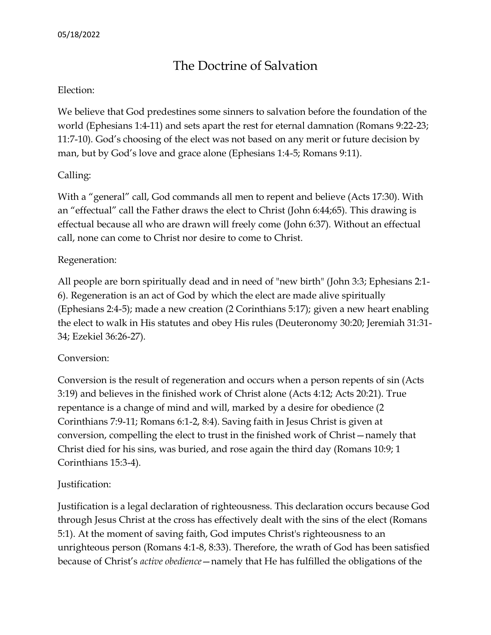# The Doctrine of Salvation

### Election:

We believe that God predestines some sinners to salvation before the foundation of the world (Ephesians 1:4-11) and sets apart the rest for eternal damnation (Romans 9:22-23; 11:7-10). God's choosing of the elect was not based on any merit or future decision by man, but by God's love and grace alone (Ephesians 1:4-5; Romans 9:11).

## Calling:

With a "general" call, God commands all men to repent and believe (Acts 17:30). With an "effectual" call the Father draws the elect to Christ (John 6:44;65). This drawing is effectual because all who are drawn will freely come (John 6:37). Without an effectual call, none can come to Christ nor desire to come to Christ.

### Regeneration:

All people are born spiritually dead and in need of "new birth" (John 3:3; Ephesians 2:1- 6). Regeneration is an act of God by which the elect are made alive spiritually (Ephesians 2:4-5); made a new creation (2 Corinthians 5:17); given a new heart enabling the elect to walk in His statutes and obey His rules (Deuteronomy 30:20; Jeremiah 31:31- 34; Ezekiel 36:26-27).

### Conversion:

Conversion is the result of regeneration and occurs when a person repents of sin (Acts 3:19) and believes in the finished work of Christ alone (Acts 4:12; Acts 20:21). True repentance is a change of mind and will, marked by a desire for obedience (2 Corinthians 7:9-11; Romans 6:1-2, 8:4). Saving faith in Jesus Christ is given at conversion, compelling the elect to trust in the finished work of Christ—namely that Christ died for his sins, was buried, and rose again the third day (Romans 10:9; 1 Corinthians 15:3-4).

## Justification:

Justification is a legal declaration of righteousness. This declaration occurs because God through Jesus Christ at the cross has effectively dealt with the sins of the elect (Romans 5:1). At the moment of saving faith, God imputes Christ's righteousness to an unrighteous person (Romans 4:1-8, 8:33). Therefore, the wrath of God has been satisfied because of Christ's *active obedience*—namely that He has fulfilled the obligations of the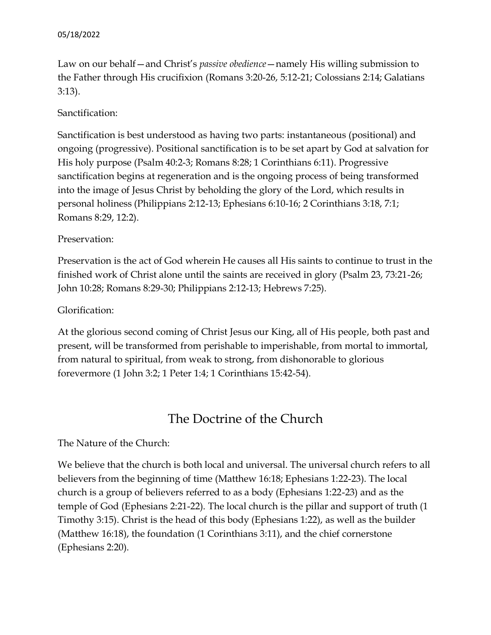Law on our behalf—and Christ's *passive obedience*—namely His willing submission to the Father through His crucifixion (Romans 3:20-26, 5:12-21; Colossians 2:14; Galatians 3:13).

## Sanctification:

Sanctification is best understood as having two parts: instantaneous (positional) and ongoing (progressive). Positional sanctification is to be set apart by God at salvation for His holy purpose (Psalm 40:2-3; Romans 8:28; 1 Corinthians 6:11). Progressive sanctification begins at regeneration and is the ongoing process of being transformed into the image of Jesus Christ by beholding the glory of the Lord, which results in personal holiness (Philippians 2:12-13; Ephesians 6:10-16; 2 Corinthians 3:18, 7:1; Romans 8:29, 12:2).

## Preservation:

Preservation is the act of God wherein He causes all His saints to continue to trust in the finished work of Christ alone until the saints are received in glory (Psalm 23, 73:21-26; John 10:28; Romans 8:29-30; Philippians 2:12-13; Hebrews 7:25).

## Glorification:

At the glorious second coming of Christ Jesus our King, all of His people, both past and present, will be transformed from perishable to imperishable, from mortal to immortal, from natural to spiritual, from weak to strong, from dishonorable to glorious forevermore (1 John 3:2; 1 Peter 1:4; 1 Corinthians 15:42-54).

## The Doctrine of the Church

The Nature of the Church:

We believe that the church is both local and universal. The universal church refers to all believers from the beginning of time (Matthew 16:18; Ephesians 1:22-23). The local church is a group of believers referred to as a body (Ephesians 1:22-23) and as the temple of God (Ephesians 2:21-22). The local church is the pillar and support of truth (1 Timothy 3:15). Christ is the head of this body (Ephesians 1:22), as well as the builder (Matthew 16:18), the foundation (1 Corinthians 3:11), and the chief cornerstone (Ephesians 2:20).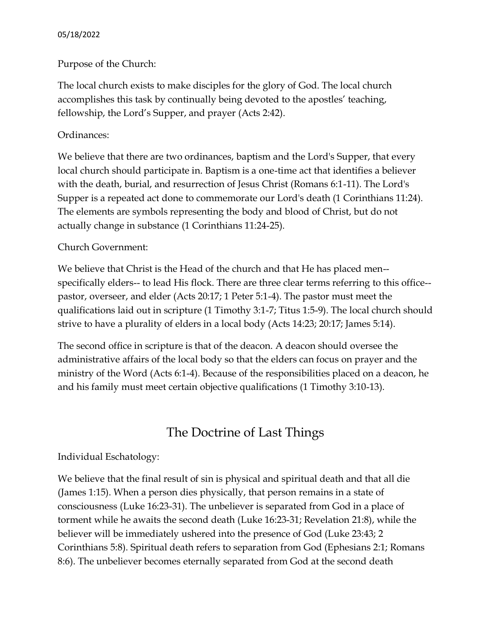#### 05/18/2022

### Purpose of the Church:

The local church exists to make disciples for the glory of God. The local church accomplishes this task by continually being devoted to the apostles' teaching, fellowship, the Lord's Supper, and prayer (Acts 2:42).

## Ordinances:

We believe that there are two ordinances, baptism and the Lord's Supper, that every local church should participate in. Baptism is a one-time act that identifies a believer with the death, burial, and resurrection of Jesus Christ (Romans 6:1-11). The Lord's Supper is a repeated act done to commemorate our Lord's death (1 Corinthians 11:24). The elements are symbols representing the body and blood of Christ, but do not actually change in substance (1 Corinthians 11:24-25).

### Church Government:

We believe that Christ is the Head of the church and that He has placed men- specifically elders-- to lead His flock. There are three clear terms referring to this office- pastor, overseer, and elder (Acts 20:17; 1 Peter 5:1-4). The pastor must meet the qualifications laid out in scripture (1 Timothy 3:1-7; Titus 1:5-9). The local church should strive to have a plurality of elders in a local body (Acts 14:23; 20:17; James 5:14).

The second office in scripture is that of the deacon. A deacon should oversee the administrative affairs of the local body so that the elders can focus on prayer and the ministry of the Word (Acts 6:1-4). Because of the responsibilities placed on a deacon, he and his family must meet certain objective qualifications (1 Timothy 3:10-13).

## The Doctrine of Last Things

## Individual Eschatology:

We believe that the final result of sin is physical and spiritual death and that all die (James 1:15). When a person dies physically, that person remains in a state of consciousness (Luke 16:23-31). The unbeliever is separated from God in a place of torment while he awaits the second death (Luke 16:23-31; Revelation 21:8), while the believer will be immediately ushered into the presence of God (Luke 23:43; 2 Corinthians 5:8). Spiritual death refers to separation from God (Ephesians 2:1; Romans 8:6). The unbeliever becomes eternally separated from God at the second death